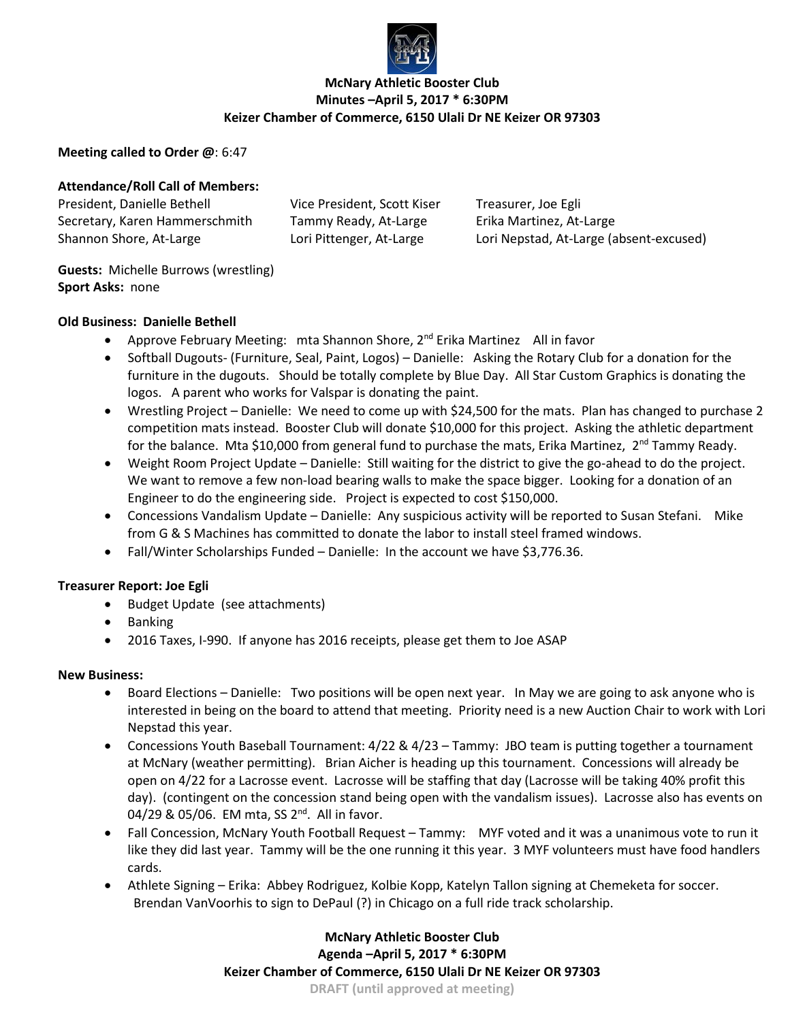

# **McNary Athletic Booster Club Minutes –April 5, 2017 \* 6:30PM Keizer Chamber of Commerce, 6150 Ulali Dr NE Keizer OR 97303**

## **Meeting called to Order @**: 6:47

# **Attendance/Roll Call of Members:**

President, Danielle Bethell Vice President, Scott Kiser Treasurer, Joe Egli Secretary, Karen Hammerschmith Tammy Ready, At-Large Erika Martinez, At-Large

Shannon Shore, At-Large Lori Pittenger, At-Large Lori Nepstad, At-Large (absent-excused)

**Guests:** Michelle Burrows (wrestling) **Sport Asks:** none

### **Old Business: Danielle Bethell**

- Approve February Meeting: mta Shannon Shore, 2<sup>nd</sup> Erika Martinez All in favor
- Softball Dugouts- (Furniture, Seal, Paint, Logos) Danielle: Asking the Rotary Club for a donation for the furniture in the dugouts. Should be totally complete by Blue Day. All Star Custom Graphics is donating the logos. A parent who works for Valspar is donating the paint.
- Wrestling Project Danielle: We need to come up with \$24,500 for the mats. Plan has changed to purchase 2 competition mats instead. Booster Club will donate \$10,000 for this project. Asking the athletic department for the balance. Mta \$10,000 from general fund to purchase the mats, Erika Martinez, 2<sup>nd</sup> Tammy Ready.
- Weight Room Project Update Danielle: Still waiting for the district to give the go-ahead to do the project. We want to remove a few non-load bearing walls to make the space bigger. Looking for a donation of an Engineer to do the engineering side. Project is expected to cost \$150,000.
- Concessions Vandalism Update Danielle: Any suspicious activity will be reported to Susan Stefani. Mike from G & S Machines has committed to donate the labor to install steel framed windows.
- Fall/Winter Scholarships Funded Danielle: In the account we have \$3,776.36.

### **Treasurer Report: Joe Egli**

- Budget Update (see attachments)
- Banking
- 2016 Taxes, I-990. If anyone has 2016 receipts, please get them to Joe ASAP

# **New Business:**

- Board Elections Danielle: Two positions will be open next year. In May we are going to ask anyone who is interested in being on the board to attend that meeting. Priority need is a new Auction Chair to work with Lori Nepstad this year.
- Concessions Youth Baseball Tournament: 4/22 & 4/23 Tammy: JBO team is putting together a tournament at McNary (weather permitting). Brian Aicher is heading up this tournament. Concessions will already be open on 4/22 for a Lacrosse event. Lacrosse will be staffing that day (Lacrosse will be taking 40% profit this day). (contingent on the concession stand being open with the vandalism issues). Lacrosse also has events on 04/29 & 05/06. EM mta, SS 2<sup>nd</sup>. All in favor.
- Fall Concession, McNary Youth Football Request Tammy: MYF voted and it was a unanimous vote to run it like they did last year. Tammy will be the one running it this year. 3 MYF volunteers must have food handlers cards.
- Athlete Signing Erika: Abbey Rodriguez, Kolbie Kopp, Katelyn Tallon signing at Chemeketa for soccer. Brendan VanVoorhis to sign to DePaul (?) in Chicago on a full ride track scholarship.

**McNary Athletic Booster Club Agenda –April 5, 2017 \* 6:30PM Keizer Chamber of Commerce, 6150 Ulali Dr NE Keizer OR 97303 DRAFT (until approved at meeting)**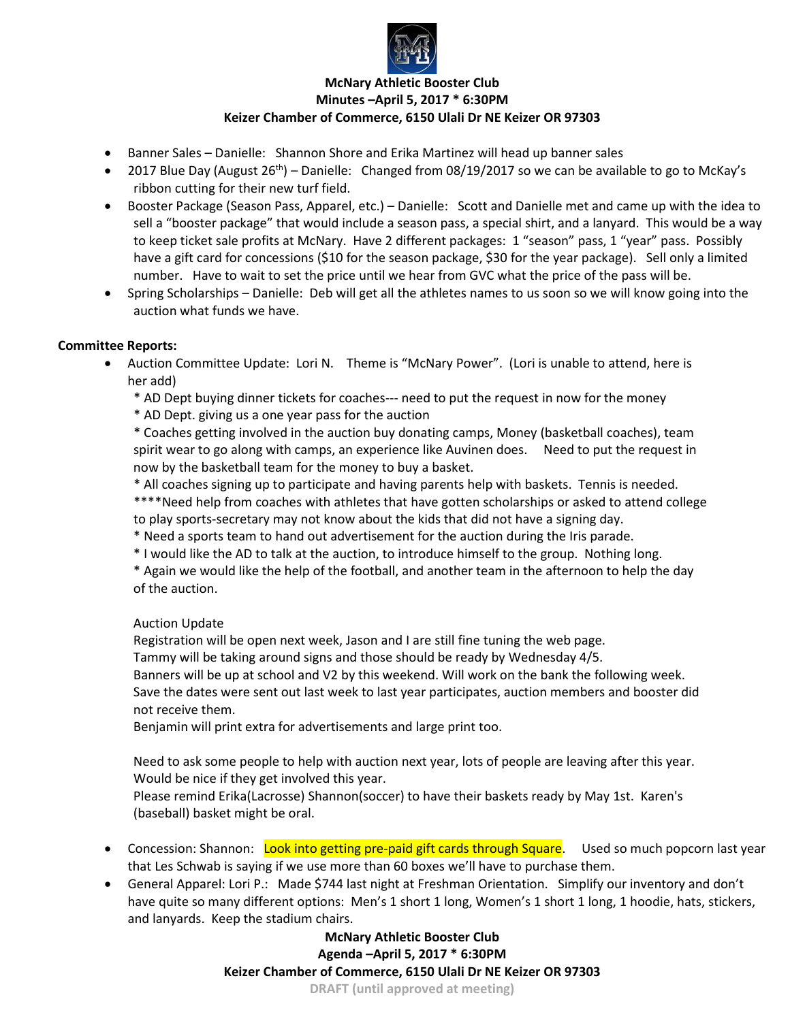

# **McNary Athletic Booster Club Minutes –April 5, 2017 \* 6:30PM Keizer Chamber of Commerce, 6150 Ulali Dr NE Keizer OR 97303**

- Banner Sales Danielle: Shannon Shore and Erika Martinez will head up banner sales
- 2017 Blue Day (August  $26^{th}$ ) Danielle: Changed from 08/19/2017 so we can be available to go to McKay's ribbon cutting for their new turf field.
- Booster Package (Season Pass, Apparel, etc.) Danielle: Scott and Danielle met and came up with the idea to sell a "booster package" that would include a season pass, a special shirt, and a lanyard. This would be a way to keep ticket sale profits at McNary. Have 2 different packages: 1 "season" pass, 1 "year" pass. Possibly have a gift card for concessions (\$10 for the season package, \$30 for the year package). Sell only a limited number. Have to wait to set the price until we hear from GVC what the price of the pass will be.
- Spring Scholarships Danielle: Deb will get all the athletes names to us soon so we will know going into the auction what funds we have.

### **Committee Reports:**

- Auction Committee Update: Lori N. Theme is "McNary Power". (Lori is unable to attend, here is her add)
	- \* AD Dept buying dinner tickets for coaches--- need to put the request in now for the money
	- \* AD Dept. giving us a one year pass for the auction

\* Coaches getting involved in the auction buy donating camps, Money (basketball coaches), team spirit wear to go along with camps, an experience like Auvinen does. Need to put the request in now by the basketball team for the money to buy a basket.

\* All coaches signing up to participate and having parents help with baskets. Tennis is needed.

\*\*\*\*Need help from coaches with athletes that have gotten scholarships or asked to attend college to play sports-secretary may not know about the kids that did not have a signing day.

- \* Need a sports team to hand out advertisement for the auction during the Iris parade.
- \* I would like the AD to talk at the auction, to introduce himself to the group. Nothing long.

\* Again we would like the help of the football, and another team in the afternoon to help the day of the auction.

### Auction Update

Registration will be open next week, Jason and I are still fine tuning the web page.

Tammy will be taking around signs and those should be ready by Wednesday 4/5.

Banners will be up at school and V2 by this weekend. Will work on the bank the following week.

Save the dates were sent out last week to last year participates, auction members and booster did not receive them.

Benjamin will print extra for advertisements and large print too.

Need to ask some people to help with auction next year, lots of people are leaving after this year. Would be nice if they get involved this year.

Please remind Erika(Lacrosse) Shannon(soccer) to have their baskets ready by May 1st. Karen's (baseball) basket might be oral.

- Concession: Shannon: Look into getting pre-paid gift cards through Square. Used so much popcorn last year that Les Schwab is saying if we use more than 60 boxes we'll have to purchase them.
- General Apparel: Lori P.: Made \$744 last night at Freshman Orientation. Simplify our inventory and don't have quite so many different options: Men's 1 short 1 long, Women's 1 short 1 long, 1 hoodie, hats, stickers, and lanyards. Keep the stadium chairs.

**McNary Athletic Booster Club Agenda –April 5, 2017 \* 6:30PM Keizer Chamber of Commerce, 6150 Ulali Dr NE Keizer OR 97303 DRAFT (until approved at meeting)**